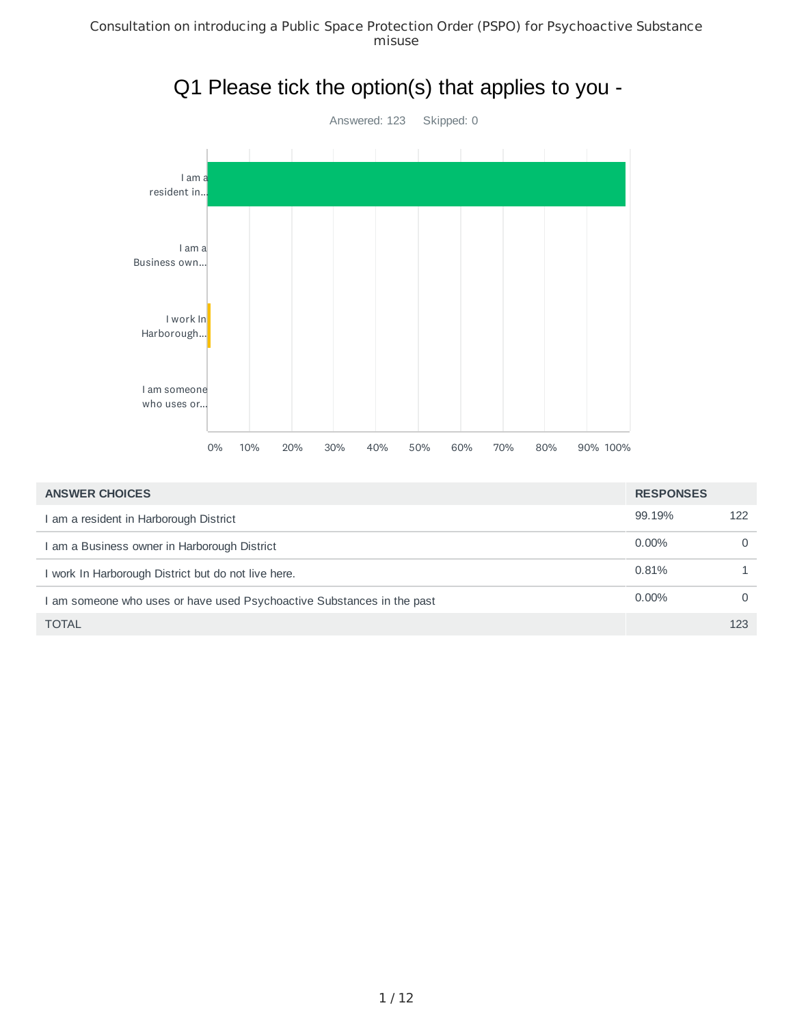

| <b>ANSWER CHOICES</b>                                                | <b>RESPONSES</b> |          |
|----------------------------------------------------------------------|------------------|----------|
| I am a resident in Harborough District                               | 99.19%           | 122      |
| am a Business owner in Harborough District                           | $0.00\%$         | $\Omega$ |
| I work In Harborough District but do not live here.                  | 0.81%            |          |
| am someone who uses or have used Psychoactive Substances in the past | $0.00\%$         | $\Omega$ |
| <b>TOTAL</b>                                                         |                  | 123      |

#### 1 / 12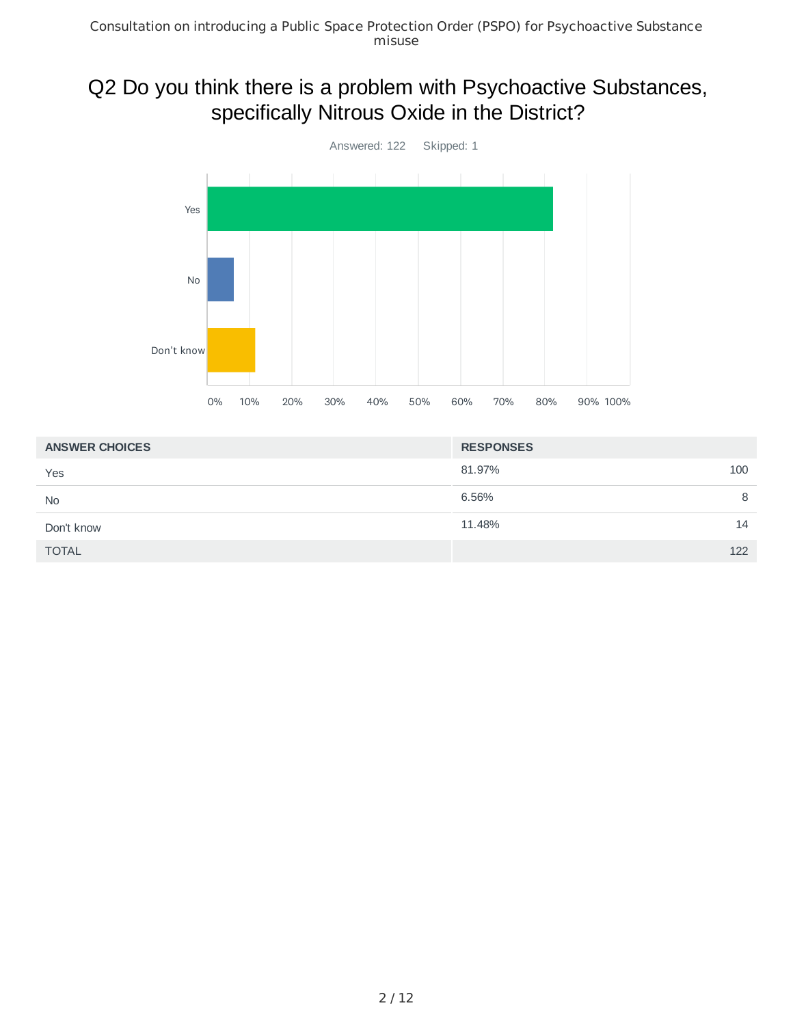## Q2 Do you think there is a problem with Psychoactive Substances, specifically Nitrous Oxide in the District?



| <b>ANSWER CHOICES</b> | <b>RESPONSES</b> |     |
|-----------------------|------------------|-----|
| Yes                   | 81.97%           | 100 |
| <b>No</b>             | 6.56%            | 8   |
| Don't know            | 11.48%           | 14  |
| <b>TOTAL</b>          |                  | 122 |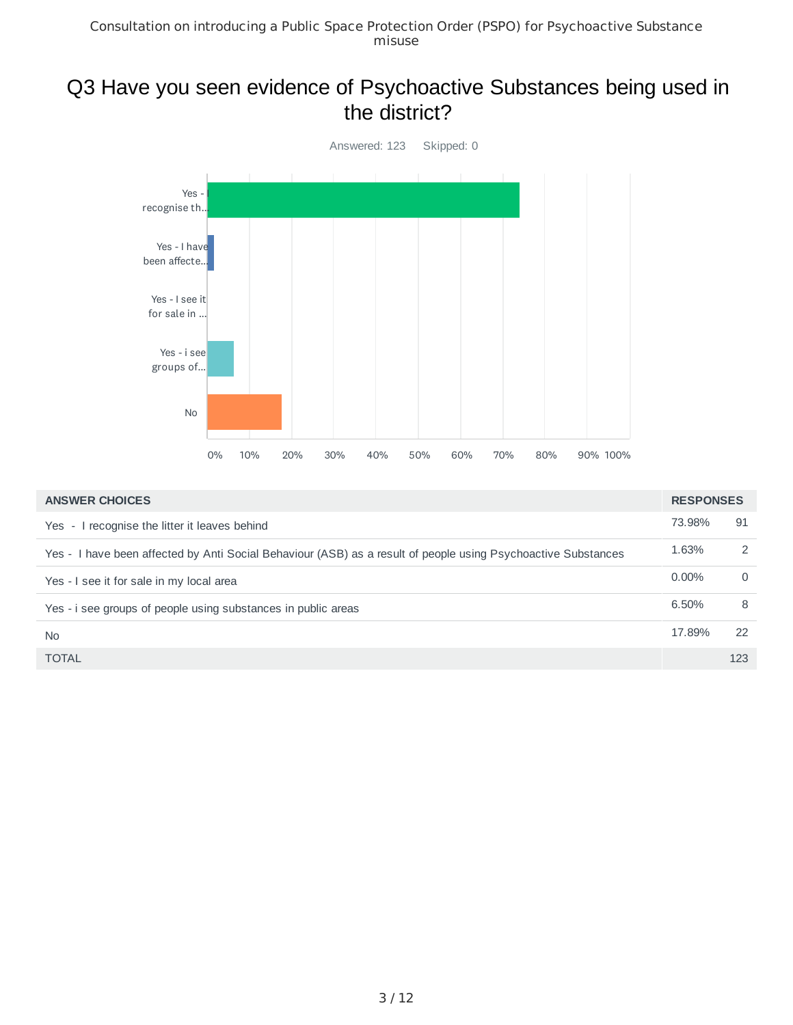#### Q3 Have you seen evidence of Psychoactive Substances being used in the district?



| <b>ANSWER CHOICES</b>                                                                                         | <b>RESPONSES</b> |          |
|---------------------------------------------------------------------------------------------------------------|------------------|----------|
| Yes - I recognise the litter it leaves behind                                                                 | 73.98%           | 91       |
| Yes - I have been affected by Anti Social Behaviour (ASB) as a result of people using Psychoactive Substances | 1.63%            | 2        |
| Yes - I see it for sale in my local area                                                                      | $0.00\%$         | $\Omega$ |
| Yes - i see groups of people using substances in public areas                                                 | 6.50%            | 8        |
| <b>No</b>                                                                                                     | 17.89%           | 22       |
| <b>TOTAL</b>                                                                                                  |                  | 123      |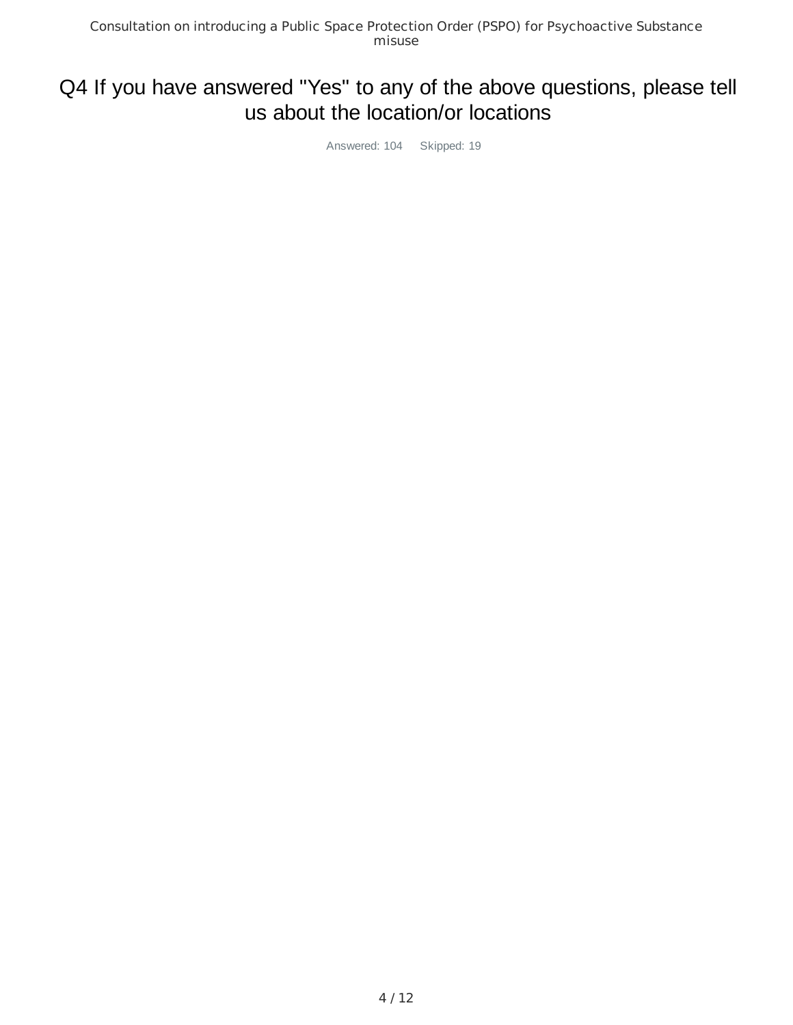## Q4 If you have answered "Yes" to any of the above questions, please tell us about the location/or locations

Answered: 104 Skipped: 19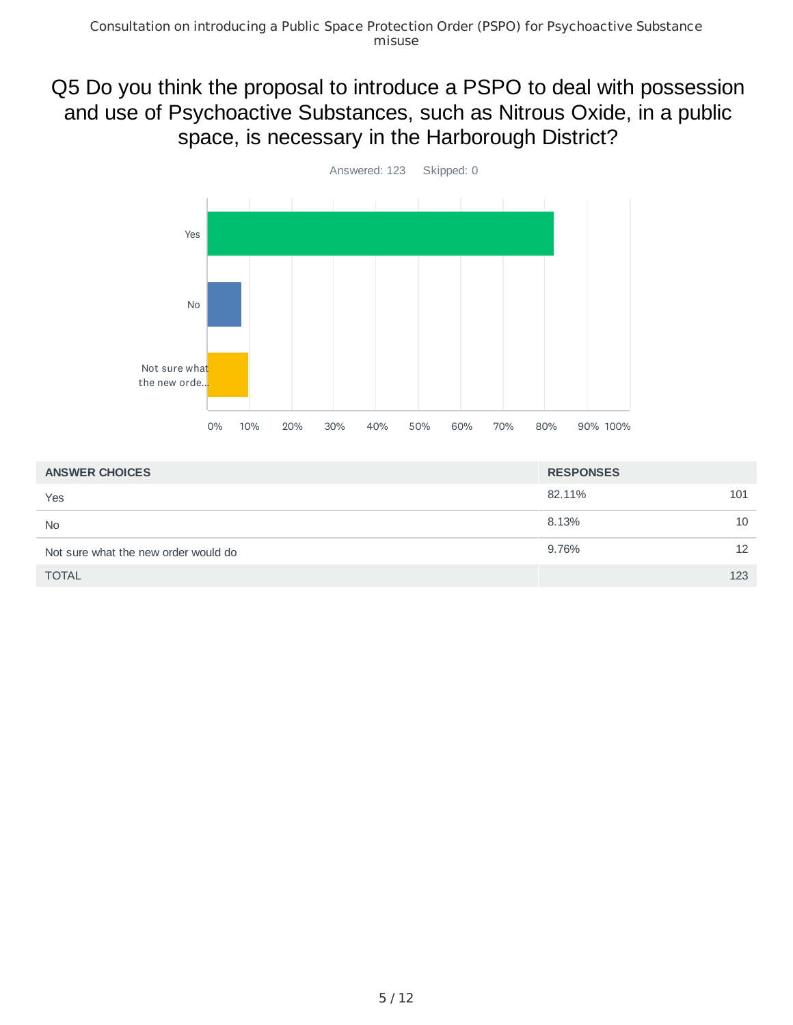## Q5 Do you think the proposal to introduce a PSPO to deal with possession and use of Psychoactive Substances, such as Nitrous Oxide, in a public space, is necessary in the Harborough District?



| <b>ANSWER CHOICES</b>                | <b>RESPONSES</b> |     |
|--------------------------------------|------------------|-----|
| Yes                                  | 82.11%           | 101 |
| <b>No</b>                            | 8.13%            | 10  |
| Not sure what the new order would do | 9.76%            | 12  |
| <b>TOTAL</b>                         |                  | 123 |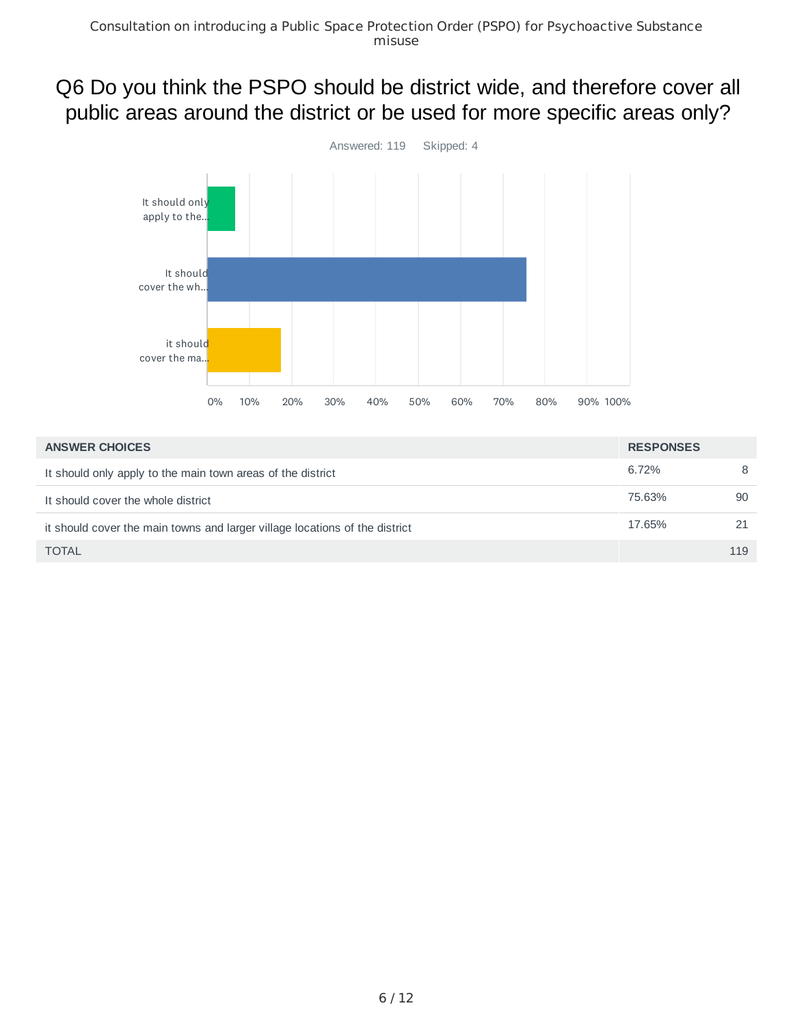# Q6 Do you think the PSPO should be district wide, and therefore cover all public areas around the district or be used for more specific areas only?



| <b>ANSWER CHOICES</b>                                                       | <b>RESPONSES</b> |     |
|-----------------------------------------------------------------------------|------------------|-----|
| It should only apply to the main town areas of the district                 | 6.72%            | 8   |
| It should cover the whole district                                          | 75.63%           | 90  |
| it should cover the main towns and larger village locations of the district | 17.65%           | 21  |
| <b>TOTAL</b>                                                                |                  | 119 |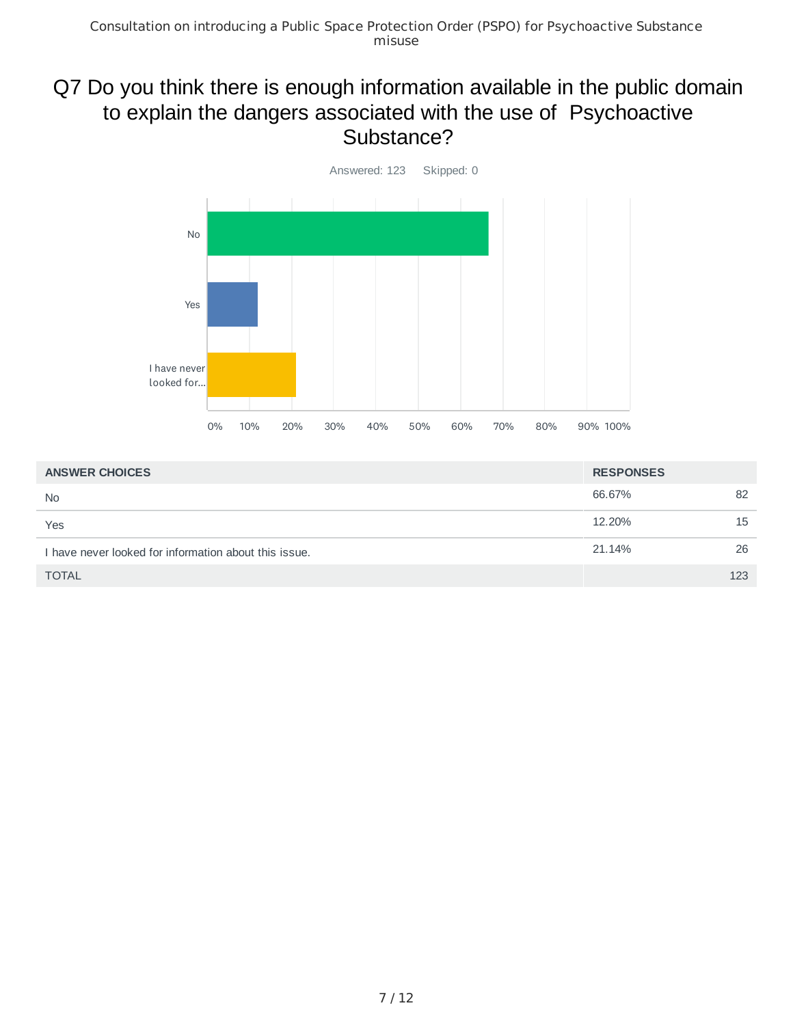## Q7 Do you think there is enough information available in the public domain to explain the dangers associated with the use of Psychoactive Substance?



| <b>ANSWER CHOICES</b>                                 | <b>RESPONSES</b> |     |
|-------------------------------------------------------|------------------|-----|
| N <sub>0</sub>                                        | 66.67%           | 82  |
| Yes                                                   | 12.20%           | 15  |
| I have never looked for information about this issue. | 21.14%           | 26  |
| <b>TOTAL</b>                                          |                  | 123 |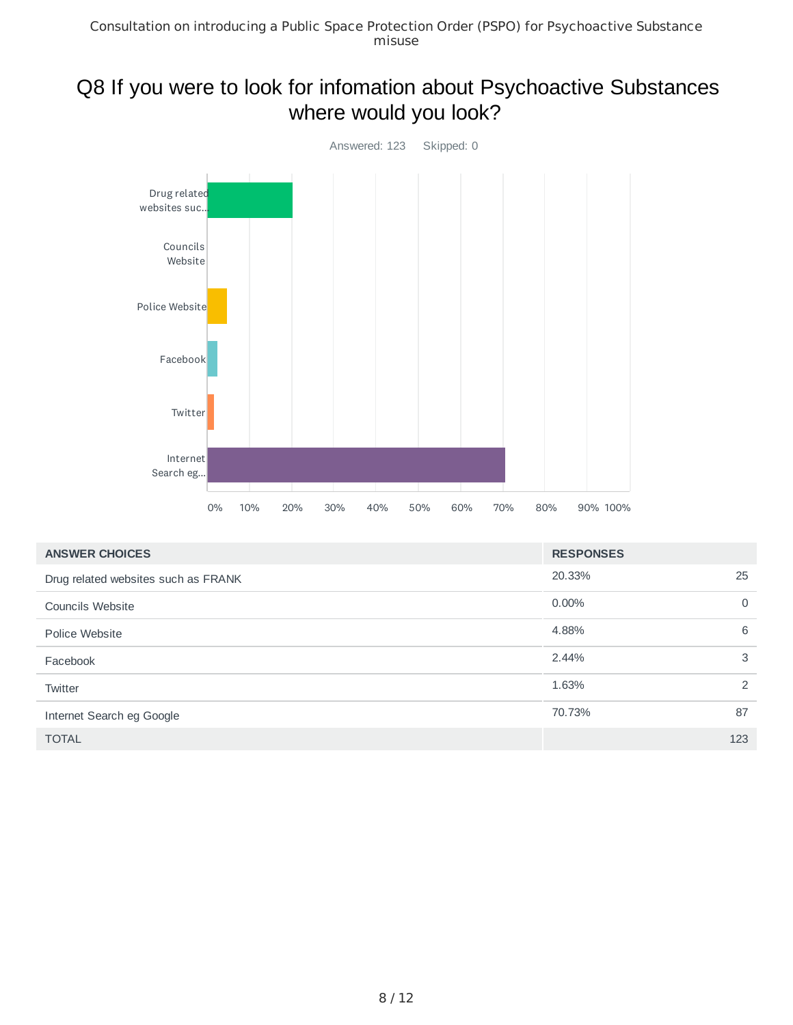## Q8 If you were to look for infomation about Psychoactive Substances where would you look?



| <b>ANSWER CHOICES</b>               | <b>RESPONSES</b> |          |
|-------------------------------------|------------------|----------|
| Drug related websites such as FRANK | 20.33%           | 25       |
| <b>Councils Website</b>             | $0.00\%$         | $\Omega$ |
| Police Website                      | 4.88%            | 6        |
| Facebook                            | 2.44%            | 3        |
| Twitter                             | 1.63%            | 2        |
| Internet Search eg Google           | 70.73%           | 87       |
| <b>TOTAL</b>                        |                  | 123      |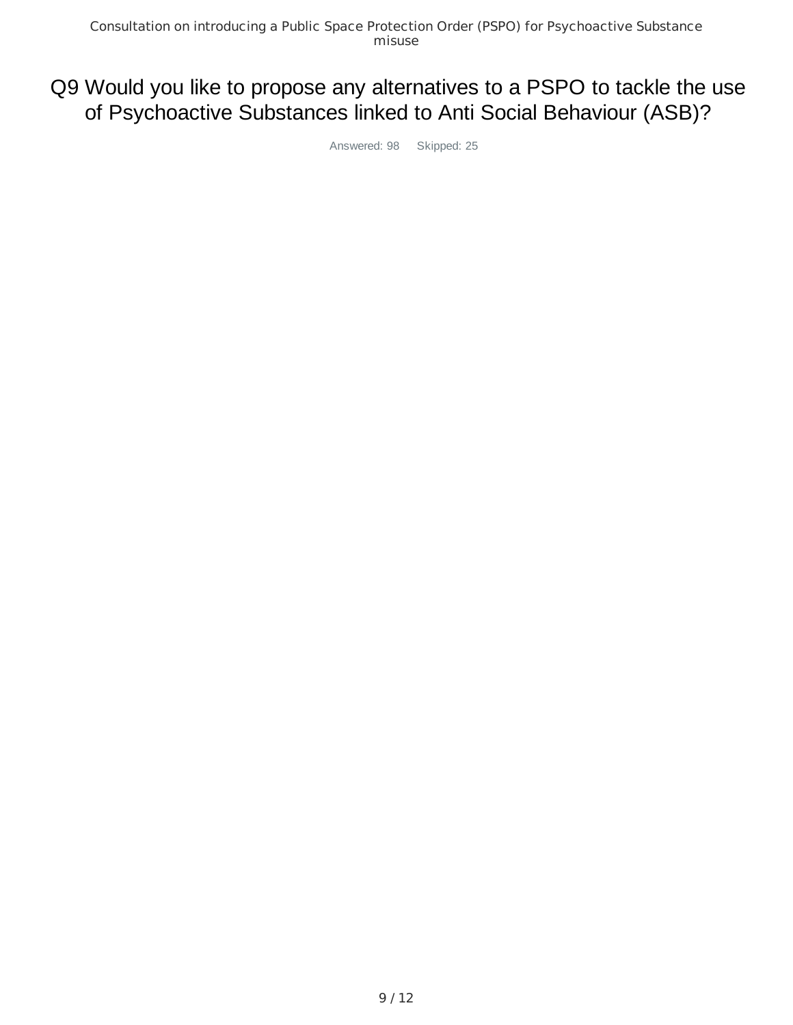# Q9 Would you like to propose any alternatives to a PSPO to tackle the use of Psychoactive Substances linked to Anti Social Behaviour (ASB)?

Answered: 98 Skipped: 25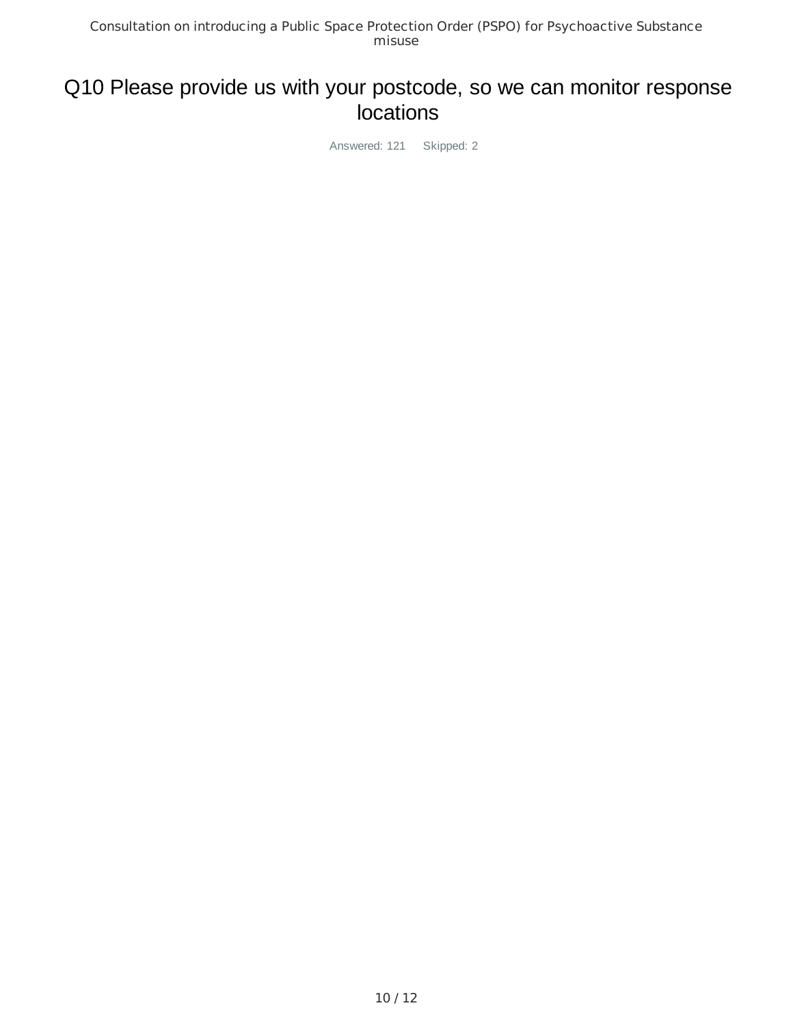## Q10 Please provide us with your postcode, so we can monitor response **locations**

Answered: 121 Skipped: 2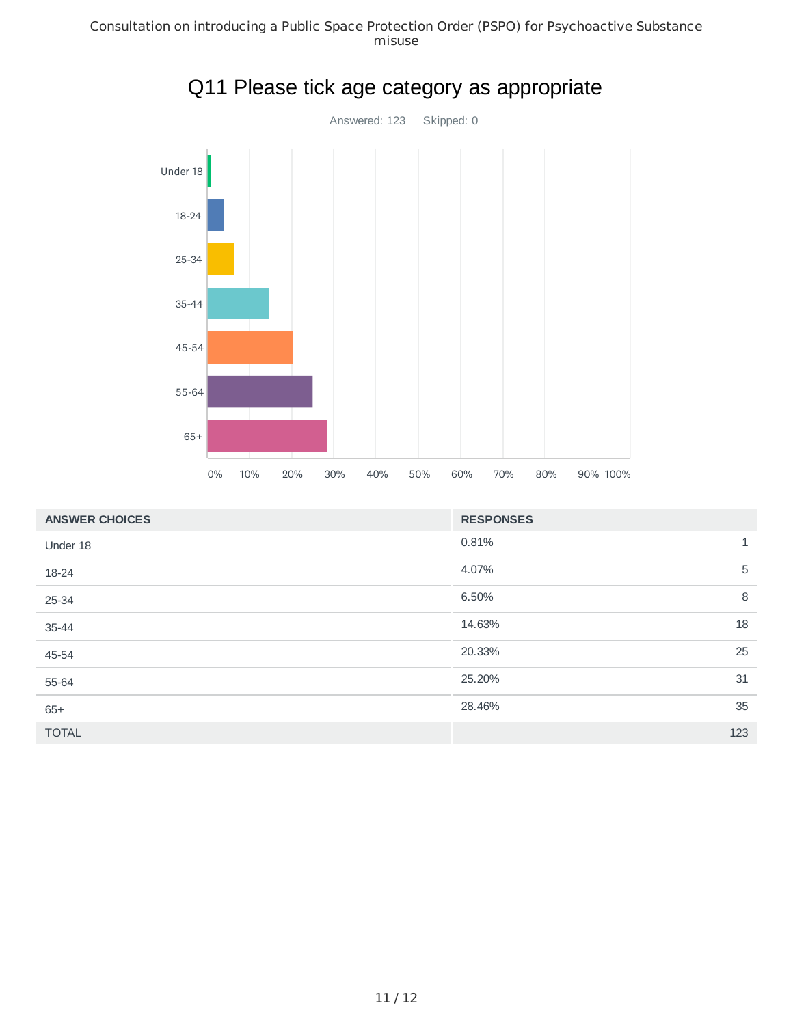Consultation on introducing a Public Space Protection Order (PSPO) for Psychoactive Substance misuse



|  | Q11 Please tick age category as appropriate |  |
|--|---------------------------------------------|--|
|  |                                             |  |

| <b>ANSWER CHOICES</b> | <b>RESPONSES</b>      |  |
|-----------------------|-----------------------|--|
| Under 18              | 0.81%<br>$\mathbf{1}$ |  |
| 18-24                 | 5<br>4.07%            |  |
| 25-34                 | 8<br>6.50%            |  |
| 35-44                 | 18<br>14.63%          |  |
| 45-54                 | 25<br>20.33%          |  |
| 55-64                 | 25.20%<br>31          |  |
| $65+$                 | 35<br>28.46%          |  |
| <b>TOTAL</b>          | 123                   |  |